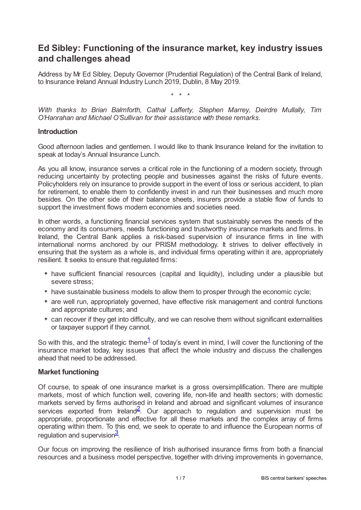# **Ed Sibley: Functioning of the insurance market, key industry issues and challenges ahead**

Address by Mr Ed Sibley, Deputy Governor (Prudential Regulation) of the Central Bank of Ireland, to Insurance Ireland Annual Industry Lunch 2019, Dublin, 8 May 2019.

\* \* \*

*With thanks to Brian Balmforth, Cathal Lafferty, Stephen Marrey, Deirdre Mullally, Tim O'Hanrahan and Michael O'Sullivan for their assistance with these remarks.*

#### **Introduction**

Good afternoon ladies and gentlemen. I would like to thank Insurance Ireland for the invitation to speak at today's Annual Insurance Lunch.

As you all know, insurance serves a critical role in the functioning of a modern society, through reducing uncertainty by protecting people and businesses against the risks of future events. Policyholders rely on insurance to provide support in the event of loss or serious accident, to plan for retirement, to enable them to confidently invest in and run their businesses and much more besides. On the other side of their balance sheets, insurers provide a stable flow of funds to support the investment flows modern economies and societies need.

In other words, a functioning financial services system that sustainably serves the needs of the economy and its consumers, needs functioning and trustworthy insurance markets and firms. In Ireland, the Central Bank applies a risk-based supervision of insurance firms in line with international norms anchored by our PRISM methodology. It strives to deliver effectively in ensuring that the system as a whole is, and individual firms operating within it are, appropriately resilient. It seeks to ensure that regulated firms:

- have sufficient financial resources (capital and liquidity), including under a plausible but severe stress;
- have sustainable business models to allow them to prosper through the economic cycle;
- are well run, appropriately governed, have effective risk management and control functions and appropriate cultures; and
- <span id="page-0-0"></span>can recover if they get into difficulty, and we can resolve them without significant externalities or taxpayer support if they cannot.

So with this, and the strategic theme $1/2$  $1/2$  of today's event in mind, I will cover the functioning of the insurance market today, key issues that affect the whole industry and discuss the challenges ahead that need to be addressed.

### **Market functioning**

<span id="page-0-1"></span>Of course, to speak of one insurance market is a gross oversimplification. There are multiple markets, most of which function well, covering life, non-life and health sectors; with domestic markets served by firms authorised in Ireland and abroad and significant volumes of insurance services exported from Ireland<sup>[2](#page-6-1)</sup>. Our approach to regulation and supervision must be appropriate, proportionate and effective for all these markets and the complex array of firms operating within them. To this end, we seek to operate to and influence the European norms of regulation and supervision $\frac{3}{2}$  $\frac{3}{2}$  $\frac{3}{2}$ .

<span id="page-0-2"></span>Our focus on improving the resilience of Irish authorised insurance firms from both a financial resources and a business model perspective, together with driving improvements in governance,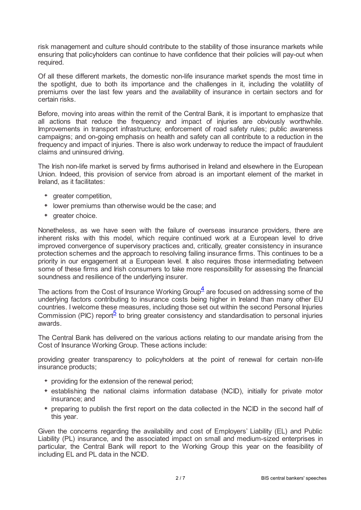risk management and culture should contribute to the stability of those insurance markets while ensuring that policyholders can continue to have confidence that their policies will pay-out when required.

Of all these different markets, the domestic non-life insurance market spends the most time in the spotlight, due to both its importance and the challenges in it, including the volatility of premiums over the last few years and the availability of insurance in certain sectors and for certain risks.

Before, moving into areas within the remit of the Central Bank, it is important to emphasize that all actions that reduce the frequency and impact of injuries are obviously worthwhile. Improvements in transport infrastructure; enforcement of road safety rules; public awareness campaigns; and on-going emphasis on health and safety can all contribute to a reduction in the frequency and impact of injuries. There is also work underway to reduce the impact of fraudulent claims and uninsured driving.

The Irish non-life market is served by firms authorised in Ireland and elsewhere in the European Union. Indeed, this provision of service from abroad is an important element of the market in Ireland, as it facilitates:

- greater competition,
- lower premiums than otherwise would be the case; and
- \* greater choice.

Nonetheless, as we have seen with the failure of overseas insurance providers, there are inherent risks with this model, which require continued work at a European level to drive improved convergence of supervisory practices and, critically, greater consistency in insurance protection schemes and the approach to resolving failing insurance firms. This continues to be a priority in our engagement at a European level. It also requires those intermediating between some of these firms and Irish consumers to take more responsibility for assessing the financial soundness and resilience of the underlying insurer.

<span id="page-1-0"></span>The actions from the Cost of Insurance Working Group $\frac{4}{3}$  $\frac{4}{3}$  $\frac{4}{3}$  are focused on addressing some of the underlying factors contributing to insurance costs being higher in Ireland than many other EU countries. I welcome these measures, including those set out within the second Personal Injuries Commission (PIC) report<sup>[5](#page-6-4)</sup> to bring greater consistency and standardisation to personal injuries awards.

<span id="page-1-1"></span>The Central Bank has delivered on the various actions relating to our mandate arising from the Cost of Insurance Working Group. These actions include:

providing greater transparency to policyholders at the point of renewal for certain non-life insurance products;

- providing for the extension of the renewal period;
- establishing the national claims information database (NCID), initially for private motor insurance; and
- preparing to publish the first report on the data collected in the NCID in the second half of this year.

Given the concerns regarding the availability and cost of Employers' Liability (EL) and Public Liability (PL) insurance, and the associated impact on small and medium-sized enterprises in particular, the Central Bank will report to the Working Group this year on the feasibility of including EL and PL data in the NCID.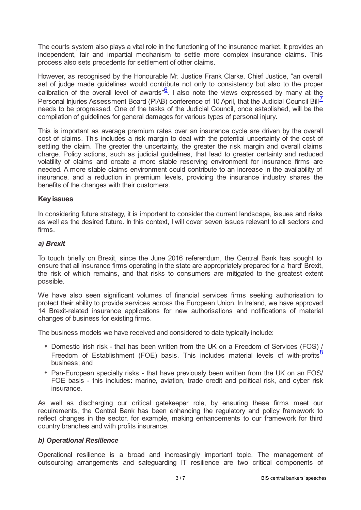The courts system also plays a vital role in the functioning of the insurance market. It provides an independent, fair and impartial mechanism to settle more complex insurance claims. This process also sets precedents for settlement of other claims.

<span id="page-2-1"></span><span id="page-2-0"></span>However, as recognised by the Honourable Mr. Justice Frank Clarke, Chief Justice, "an overall set of judge made guidelines would contribute not only to consistency but also to the proper calibration of the overall level of awards<sup>" $6$ </sup>. I also note the views expressed by many at the Personal Injuries Assessment Board (PIAB) conference of 10 April, that the Judicial Council Bill<sup>Z</sup> needs to be progressed. One of the tasks of the Judicial Council, once established, will be the compilation of guidelines for general damages for various types of personal injury.

This is important as average premium rates over an insurance cycle are driven by the overall cost of claims. This includes a risk margin to deal with the potential uncertainty of the cost of settling the claim. The greater the uncertainty, the greater the risk margin and overall claims charge. Policy actions, such as judicial guidelines, that lead to greater certainty and reduced volatility of claims and create a more stable reserving environment for insurance firms are needed. A more stable claims environment could contribute to an increase in the availability of insurance, and a reduction in premium levels, providing the insurance industry shares the benefits of the changes with their customers.

## **Keyissues**

In considering future strategy, it is important to consider the current landscape, issues and risks as well as the desired future. In this context, I will cover seven issues relevant to all sectors and firms.

### *a) Brexit*

To touch briefly on Brexit, since the June 2016 referendum, the Central Bank has sought to ensure that all insurance firms operating in the state are appropriately prepared for a 'hard' Brexit, the risk of which remains, and that risks to consumers are mitigated to the greatest extent possible.

We have also seen significant volumes of financial services firms seeking authorisation to protect their ability to provide services across the European Union. In Ireland, we have approved 14 Brexit-related insurance applications for new authorisations and notifications of material changes of business for existing firms.

The business models we have received and considered to date typically include:

- <span id="page-2-2"></span>Domestic Irish risk - that has been written from the UK on a Freedom of Services (FOS) / Freedom of Establishment (FOE) basis. This includes material levels of with-profits $\frac{8}{5}$  $\frac{8}{5}$  $\frac{8}{5}$ business; and
- Pan-European specialty risks that have previously been written from the UK on an FOS/ FOE basis - this includes: marine, aviation, trade credit and political risk, and cyber risk insurance.

As well as discharging our critical gatekeeper role, by ensuring these firms meet our requirements, the Central Bank has been enhancing the regulatory and policy framework to reflect changes in the sector, for example, making enhancements to our framework for third country branches and with profits insurance.

### *b) Operational Resilience*

Operational resilience is a broad and increasingly important topic. The management of outsourcing arrangements and safeguarding IT resilience are two critical components of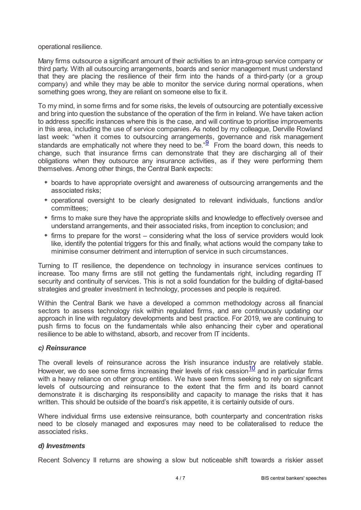operational resilience.

Many firms outsource a significant amount of their activities to an intra-group service company or third party. With all outsourcing arrangements, boards and senior management must understand that they are placing the resilience of their firm into the hands of a third-party (or a group company) and while they may be able to monitor the service during normal operations, when something goes wrong, they are reliant on someone else to fix it.

To my mind, in some firms and for some risks, the levels of outsourcing are potentially excessive and bring into question the substance of the operation of the firm in Ireland. We have taken action to address specific instances where this is the case, and will continue to prioritise improvements in this area, including the use of service companies. As noted by my colleague, Derville Rowland last week: "when it comes to outsourcing arrangements, governance and risk management standards are emphatically not where they need to be." $\frac{9}{2}$  $\frac{9}{2}$  $\frac{9}{2}$  From the board down, this needs to change, such that insurance firms can demonstrate that they are discharging all of their obligations when they outsource any insurance activities, as if they were performing them themselves. Among other things, the Central Bank expects:

- <span id="page-3-0"></span>boards to have appropriate oversight and awareness of outsourcing arrangements and the associated risks;
- operational oversight to be clearly designated to relevant individuals, functions and/or committees;
- firms to make sure they have the appropriate skills and knowledge to effectively oversee and understand arrangements, and their associated risks, from inception to conclusion; and
- firms to prepare for the worst considering what the loss of service providers would look like, identify the potential triggers for this and finally, what actions would the company take to minimise consumer detriment and interruption of service in such circumstances.

Turning to IT resilience, the dependence on technology in insurance services continues to increase. Too many firms are still not getting the fundamentals right, including regarding IT security and continuity of services. This is not a solid foundation for the building of digital-based strategies and greater investment in technology, processes and people is required.

Within the Central Bank we have a developed a common methodology across all financial sectors to assess technology risk within regulated firms, and are continuously updating our approach in line with regulatory developments and best practice. For 2019, we are continuing to push firms to focus on the fundamentals while also enhancing their cyber and operational resilience to be able to withstand, absorb, and recover from IT incidents.

### *c) Reinsurance*

<span id="page-3-1"></span>The overall levels of reinsurance across the Irish insurance industry are relatively stable. However, we do see some firms increasing their levels of risk cession $\frac{10}{10}$  $\frac{10}{10}$  $\frac{10}{10}$  and in particular firms with a heavy reliance on other group entities. We have seen firms seeking to rely on significant levels of outsourcing and reinsurance to the extent that the firm and its board cannot demonstrate it is discharging its responsibility and capacity to manage the risks that it has written. This should be outside of the board's risk appetite, it is certainly outside of ours.

Where individual firms use extensive reinsurance, both counterparty and concentration risks need to be closely managed and exposures may need to be collateralised to reduce the associated risks.

### *d) Investments*

Recent Solvency II returns are showing a slow but noticeable shift towards a riskier asset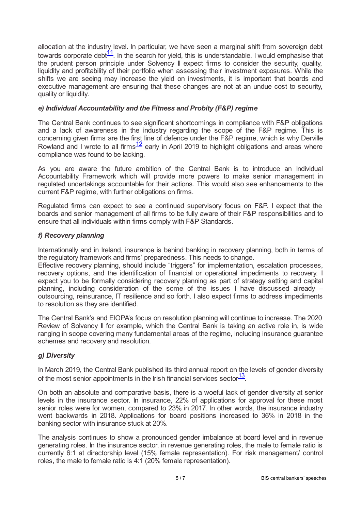<span id="page-4-0"></span>allocation at the industry level. In particular, we have seen a marginal shift from sovereign debt towards corporate debt $\frac{11}{1}$  $\frac{11}{1}$  $\frac{11}{1}$ . In the search for yield, this is understandable. I would emphasise that the prudent person principle under Solvency II expect firms to consider the security, quality, liquidity and profitability of their portfolio when assessing their investment exposures. While the shifts we are seeing may increase the yield on investments, it is important that boards and executive management are ensuring that these changes are not at an undue cost to security, quality or liquidity.

## *e) Individual Accountability and the Fitness and Probity (F&P) regime*

The Central Bank continues to see significant shortcomings in compliance with F&P obligations and a lack of awareness in the industry regarding the scope of the F&P regime. This is concerning given firms are the first line of defence under the F&P regime, which is why Derville Rowland and I wrote to all firms  $\frac{12}{2}$  $\frac{12}{2}$  $\frac{12}{2}$  early in April 2019 to highlight obligations and areas where compliance was found to be lacking.

<span id="page-4-1"></span>As you are aware the future ambition of the Central Bank is to introduce an Individual Accountability Framework which will provide more powers to make senior management in regulated undertakings accountable for their actions. This would also see enhancements to the current F&P regime, with further obligations on firms.

Regulated firms can expect to see a continued supervisory focus on F&P. I expect that the boards and senior management of all firms to be fully aware of their F&P responsibilities and to ensure that all individuals within firms comply with F&P Standards.

## *f) Recovery planning*

Internationally and in Ireland, insurance is behind banking in recovery planning, both in terms of the regulatory framework and firms' preparedness. This needs to change.

Effective recovery planning, should include "triggers" for implementation, escalation processes, recovery options, and the identification of financial or operational impediments to recovery. I expect you to be formally considering recovery planning as part of strategy setting and capital planning, including consideration of the some of the issues I have discussed already – outsourcing, reinsurance, IT resilience and so forth. I also expect firms to address impediments to resolution as they are identified.

The Central Bank's and EIOPA's focus on resolution planning will continue to increase. The 2020 Review of Solvency II for example, which the Central Bank is taking an active role in, is wide ranging in scope covering many fundamental areas of the regime, including insurance guarantee schemes and recovery and resolution.

### *g) Diversity*

<span id="page-4-2"></span>In March 2019, the Central Bank published its third annual report on the levels of gender diversity of the most senior appointments in the Irish financial services sector $\frac{13}{12}$  $\frac{13}{12}$  $\frac{13}{12}$ .

On both an absolute and comparative basis, there is a woeful lack of gender diversity at senior levels in the insurance sector. In insurance, 22% of applications for approval for these most senior roles were for women, compared to 23% in 2017. In other words, the insurance industry went backwards in 2018. Applications for board positions increased to 36% in 2018 in the banking sector with insurance stuck at 20%.

The analysis continues to show a pronounced gender imbalance at board level and in revenue generating roles. In the insurance sector, in revenue generating roles, the male to female ratio is currently 6:1 at directorship level (15% female representation). For risk management/ control roles, the male to female ratio is 4:1 (20% female representation).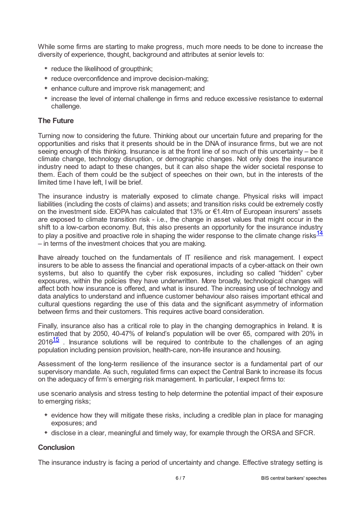While some firms are starting to make progress, much more needs to be done to increase the diversity of experience, thought, background and attributes at senior levels to:

- reduce the likelihood of groupthink;
- \* reduce overconfidence and improve decision-making;
- enhance culture and improve risk management; and
- $*$  increase the level of internal challenge in firms and reduce excessive resistance to external challenge.

## **The Future**

Turning now to considering the future. Thinking about our uncertain future and preparing for the opportunities and risks that it presents should be in the DNA of insurance firms, but we are not seeing enough of this thinking. Insurance is at the front line of so much of this uncertainty – be it climate change, technology disruption, or demographic changes. Not only does the insurance industry need to adapt to these changes, but it can also shape the wider societal response to them. Each of them could be the subject of speeches on their own, but in the interests of the limited time I have left, I will be brief.

The insurance industry is materially exposed to climate change. Physical risks will impact liabilities (including the costs of claims) and assets; and transition risks could be extremely costly on the investment side. EIOPA has calculated that 13% or €1.4trn of European insurers' assets are exposed to climate transition risk - i.e., the change in asset values that might occur in the shift to a low-carbon economy. But, this also presents an opportunity for the insurance industry to play a positive and proactive role in shaping the wider response to the climate change risks<sup>[14](#page-6-13)</sup> – in terms of the investment choices that you are making.

<span id="page-5-0"></span>Ihave already touched on the fundamentals of IT resilience and risk management. I expect insurers to be able to assess the financial and operational impacts of a cyber-attack on their own systems, but also to quantify the cyber risk exposures, including so called "hidden" cyber exposures, within the policies they have underwritten. More broadly, technological changes will affect both how insurance is offered, and what is insured. The increasing use of technology and data analytics to understand and influence customer behaviour also raises important ethical and cultural questions regarding the use of this data and the significant asymmetry of information between firms and their customers. This requires active board consideration.

<span id="page-5-1"></span>Finally, insurance also has a critical role to play in the changing demographics in Ireland. It is estimated that by 2050, 40-47% of Ireland's population will be over 65, compared with 20% in  $2016<sup>15</sup>$  $2016<sup>15</sup>$  $2016<sup>15</sup>$  . Insurance solutions will be required to contribute to the challenges of an aging population including pension provision, health-care, non-life insurance and housing.

Assessment of the long-term resilience of the insurance sector is a fundamental part of our supervisory mandate. As such, regulated firms can expect the Central Bank to increase its focus on the adequacy of firm's emerging risk management. In particular, I expect firms to:

use scenario analysis and stress testing to help determine the potential impact of their exposure to emerging risks;

- evidence how they will mitigate these risks, including a credible plan in place for managing exposures; and
- disclose in a clear, meaningful and timely way, for example through the ORSA and SFCR.

### **Conclusion**

The insurance industry is facing a period of uncertainty and change. Effective strategy setting is